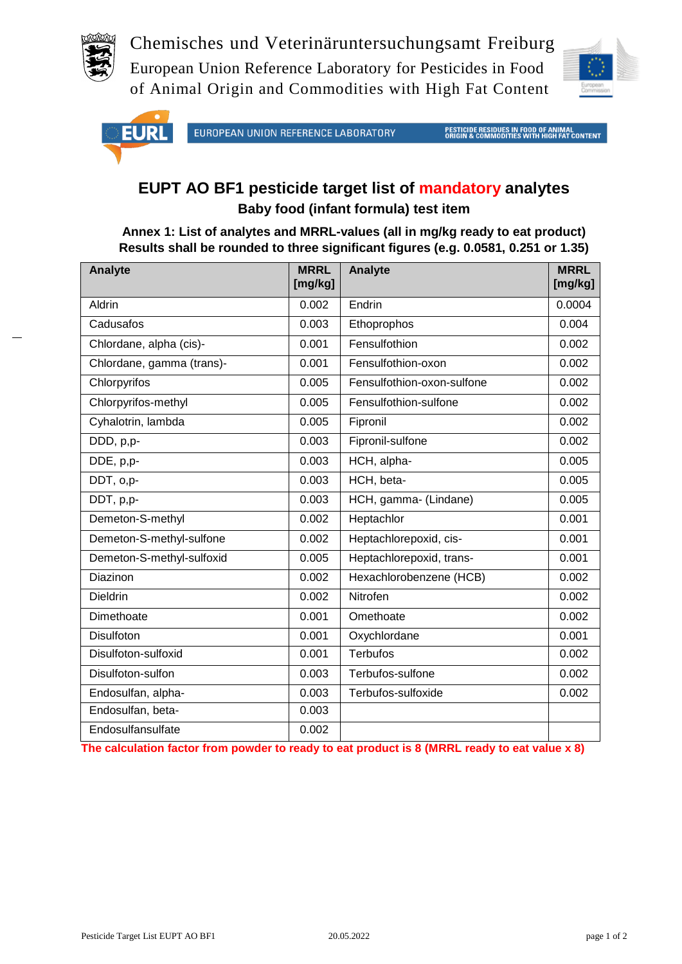

Chemisches und Veterinäruntersuchungsamt Freiburg European Union Reference Laboratory for Pesticides in Food of Animal Origin and Commodities with High Fat Content





EUROPEAN UNION REFERENCE LABORATORY

**PESTICIDE RESIDUES IN FOOD OF ANIMAL<br>ORIGIN & COMMODITIES WITH HIGH FAT CONTENT** 

## **EUPT AO BF1 pesticide target list of mandatory analytes Baby food (infant formula) test item**

**Annex 1: List of analytes and MRRL-values (all in mg/kg ready to eat product) Results shall be rounded to three significant figures (e.g. 0.0581, 0.251 or 1.35)**

| <b>Analyte</b>            | <b>MRRL</b><br>[mg/kg] | Analyte                    | <b>MRRL</b><br>[mg/kg] |
|---------------------------|------------------------|----------------------------|------------------------|
| Aldrin                    | 0.002                  | Endrin                     | 0.0004                 |
| Cadusafos                 | 0.003                  | Ethoprophos                | 0.004                  |
| Chlordane, alpha (cis)-   | 0.001                  | Fensulfothion              | 0.002                  |
| Chlordane, gamma (trans)- | 0.001                  | Fensulfothion-oxon         | 0.002                  |
| Chlorpyrifos              | 0.005                  | Fensulfothion-oxon-sulfone | 0.002                  |
| Chlorpyrifos-methyl       | 0.005                  | Fensulfothion-sulfone      | 0.002                  |
| Cyhalotrin, lambda        | 0.005                  | Fipronil                   | 0.002                  |
| DDD, p,p-                 | 0.003                  | Fipronil-sulfone           | 0.002                  |
| DDE, p,p-                 | 0.003                  | HCH, alpha-                | 0.005                  |
| DDT, o,p-                 | 0.003                  | HCH, beta-                 | 0.005                  |
| DDT, p,p-                 | 0.003                  | HCH, gamma- (Lindane)      | 0.005                  |
| Demeton-S-methyl          | 0.002                  | Heptachlor                 | 0.001                  |
| Demeton-S-methyl-sulfone  | 0.002                  | Heptachlorepoxid, cis-     | 0.001                  |
| Demeton-S-methyl-sulfoxid | 0.005                  | Heptachlorepoxid, trans-   | 0.001                  |
| Diazinon                  | 0.002                  | Hexachlorobenzene (HCB)    | 0.002                  |
| <b>Dieldrin</b>           | 0.002                  | Nitrofen                   | 0.002                  |
| Dimethoate                | 0.001                  | Omethoate                  | 0.002                  |
| Disulfoton                | 0.001                  | Oxychlordane               | 0.001                  |
| Disulfoton-sulfoxid       | 0.001                  | <b>Terbufos</b>            | 0.002                  |
| Disulfoton-sulfon         | 0.003                  | Terbufos-sulfone           | 0.002                  |
| Endosulfan, alpha-        | 0.003                  | Terbufos-sulfoxide         | 0.002                  |
| Endosulfan, beta-         | 0.003                  |                            |                        |
| Endosulfansulfate         | 0.002                  |                            |                        |

**The calculation factor from powder to ready to eat product is 8 (MRRL ready to eat value x 8)**